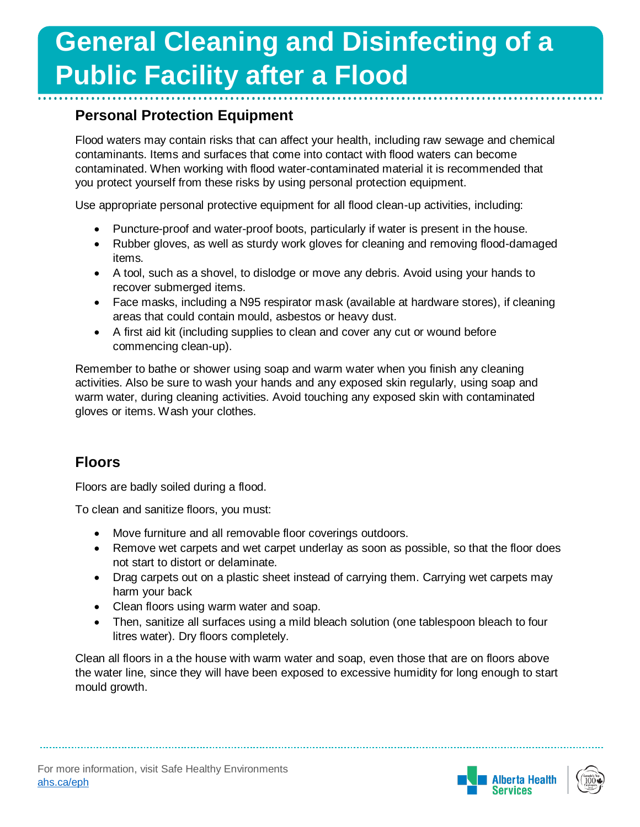### **Personal Protection Equipment**

Flood waters may contain risks that can affect your health, including raw sewage and chemical contaminants. Items and surfaces that come into contact with flood waters can become contaminated. When working with flood water-contaminated material it is recommended that you protect yourself from these risks by using personal protection equipment.

Use appropriate personal protective equipment for all flood clean-up activities, including:

- Puncture-proof and water-proof boots, particularly if water is present in the house.
- Rubber gloves, as well as sturdy work gloves for cleaning and removing flood-damaged items.
- A tool, such as a shovel, to dislodge or move any debris. Avoid using your hands to recover submerged items.
- Face masks, including a N95 respirator mask (available at hardware stores), if cleaning areas that could contain mould, asbestos or heavy dust.
- A first aid kit (including supplies to clean and cover any cut or wound before commencing clean-up).

Remember to bathe or shower using soap and warm water when you finish any cleaning activities. Also be sure to wash your hands and any exposed skin regularly, using soap and warm water, during cleaning activities. Avoid touching any exposed skin with contaminated gloves or items. Wash your clothes.

### **Floors**

Floors are badly soiled during a flood.

To clean and sanitize floors, you must:

- Move furniture and all removable floor coverings outdoors.
- Remove wet carpets and wet carpet underlay as soon as possible, so that the floor does not start to distort or delaminate.
- Drag carpets out on a plastic sheet instead of carrying them. Carrying wet carpets may harm your back
- Clean floors using warm water and soap.
- Then, sanitize all surfaces using a mild bleach solution (one tablespoon bleach to four litres water). Dry floors completely.

Clean all floors in a the house with warm water and soap, even those that are on floors above the water line, since they will have been exposed to excessive humidity for long enough to start mould growth.



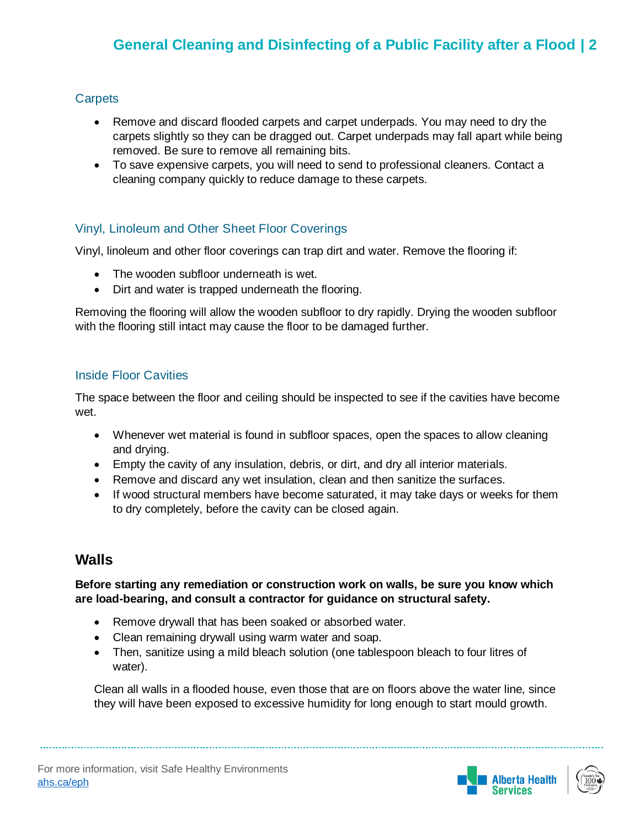#### **Carpets**

- Remove and discard flooded carpets and carpet underpads. You may need to dry the carpets slightly so they can be dragged out. Carpet underpads may fall apart while being removed. Be sure to remove all remaining bits.
- To save expensive carpets, you will need to send to professional cleaners. Contact a cleaning company quickly to reduce damage to these carpets.

#### Vinyl, Linoleum and Other Sheet Floor Coverings

Vinyl, linoleum and other floor coverings can trap dirt and water. Remove the flooring if:

- The wooden subfloor underneath is wet.
- Dirt and water is trapped underneath the flooring.

Removing the flooring will allow the wooden subfloor to dry rapidly. Drying the wooden subfloor with the flooring still intact may cause the floor to be damaged further.

#### Inside Floor Cavities

The space between the floor and ceiling should be inspected to see if the cavities have become wet.

- Whenever wet material is found in subfloor spaces, open the spaces to allow cleaning and drying.
- Empty the cavity of any insulation, debris, or dirt, and dry all interior materials.
- Remove and discard any wet insulation, clean and then sanitize the surfaces.
- If wood structural members have become saturated, it may take days or weeks for them to dry completely, before the cavity can be closed again.

### **Walls**

**Before starting any remediation or construction work on walls, be sure you know which are load-bearing, and consult a contractor for guidance on structural safety.**

- Remove drywall that has been soaked or absorbed water.
- Clean remaining drywall using warm water and soap.
- Then, sanitize using a mild bleach solution (one tablespoon bleach to four litres of water).

Clean all walls in a flooded house, even those that are on floors above the water line, since they will have been exposed to excessive humidity for long enough to start mould growth.



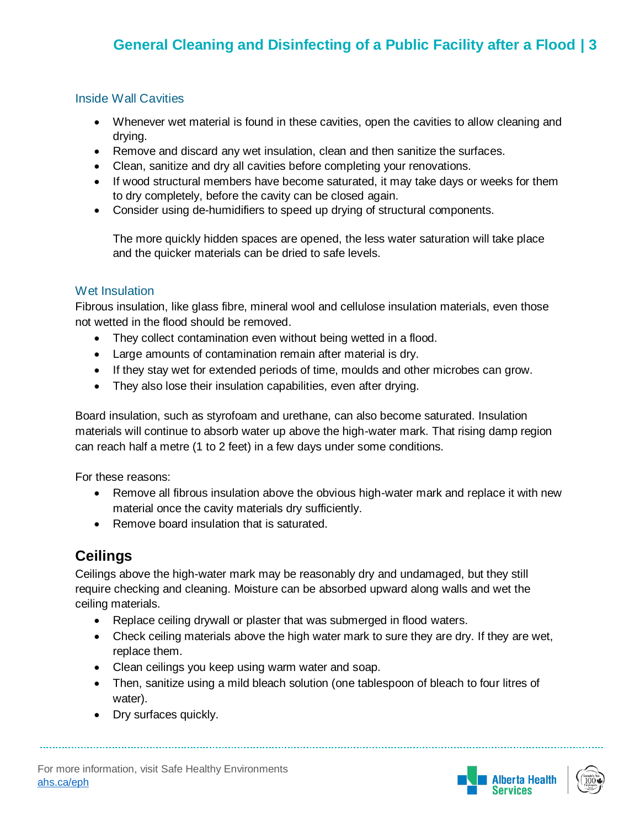#### Inside Wall Cavities

- Whenever wet material is found in these cavities, open the cavities to allow cleaning and drying.
- Remove and discard any wet insulation, clean and then sanitize the surfaces.
- Clean, sanitize and dry all cavities before completing your renovations.
- If wood structural members have become saturated, it may take days or weeks for them to dry completely, before the cavity can be closed again.
- Consider using de-humidifiers to speed up drying of structural components.

The more quickly hidden spaces are opened, the less water saturation will take place and the quicker materials can be dried to safe levels.

#### Wet Insulation

Fibrous insulation, like glass fibre, mineral wool and cellulose insulation materials, even those not wetted in the flood should be removed.

- They collect contamination even without being wetted in a flood.
- Large amounts of contamination remain after material is dry.
- If they stay wet for extended periods of time, moulds and other microbes can grow.
- They also lose their insulation capabilities, even after drying.

Board insulation, such as styrofoam and urethane, can also become saturated. Insulation materials will continue to absorb water up above the high-water mark. That rising damp region can reach half a metre (1 to 2 feet) in a few days under some conditions.

For these reasons:

- Remove all fibrous insulation above the obvious high-water mark and replace it with new material once the cavity materials dry sufficiently.
- Remove board insulation that is saturated.

# **Ceilings**

Ceilings above the high-water mark may be reasonably dry and undamaged, but they still require checking and cleaning. Moisture can be absorbed upward along walls and wet the ceiling materials.

- Replace ceiling drywall or plaster that was submerged in flood waters.
- Check ceiling materials above the high water mark to sure they are dry. If they are wet, replace them.
- Clean ceilings you keep using warm water and soap.
- Then, sanitize using a mild bleach solution (one tablespoon of bleach to four litres of water).
- Dry surfaces quickly.



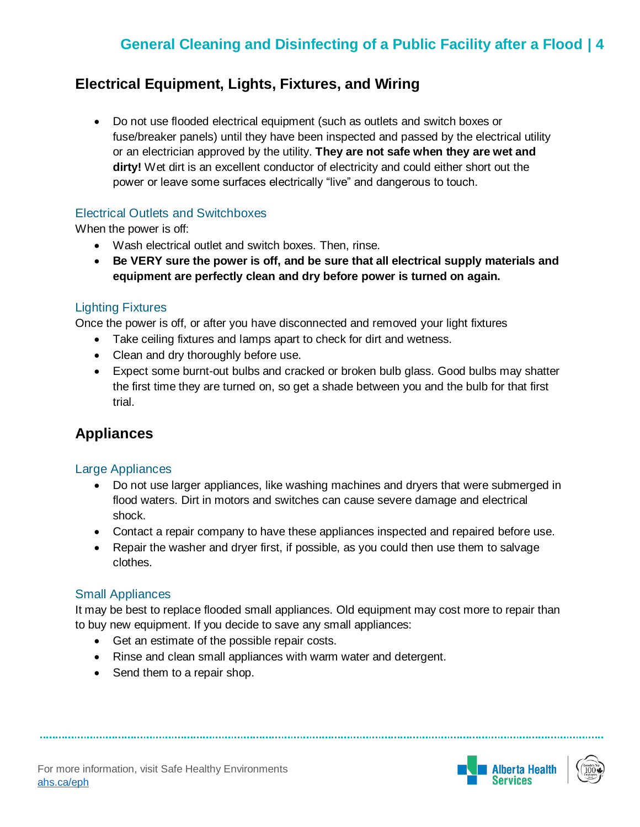### **Electrical Equipment, Lights, Fixtures, and Wiring**

 Do not use flooded electrical equipment (such as outlets and switch boxes or fuse/breaker panels) until they have been inspected and passed by the electrical utility or an electrician approved by the utility. **They are not safe when they are wet and dirty!** Wet dirt is an excellent conductor of electricity and could either short out the power or leave some surfaces electrically "live" and dangerous to touch.

#### Electrical Outlets and Switchboxes

When the power is off:

- Wash electrical outlet and switch boxes. Then, rinse.
- **Be VERY sure the power is off, and be sure that all electrical supply materials and equipment are perfectly clean and dry before power is turned on again.**

#### Lighting Fixtures

Once the power is off, or after you have disconnected and removed your light fixtures

- Take ceiling fixtures and lamps apart to check for dirt and wetness.
- Clean and dry thoroughly before use.
- Expect some burnt-out bulbs and cracked or broken bulb glass. Good bulbs may shatter the first time they are turned on, so get a shade between you and the bulb for that first trial.

### **Appliances**

#### Large Appliances

- Do not use larger appliances, like washing machines and dryers that were submerged in flood waters. Dirt in motors and switches can cause severe damage and electrical shock.
- Contact a repair company to have these appliances inspected and repaired before use.
- Repair the washer and dryer first, if possible, as you could then use them to salvage clothes.

#### Small Appliances

It may be best to replace flooded small appliances. Old equipment may cost more to repair than to buy new equipment. If you decide to save any small appliances:

- Get an estimate of the possible repair costs.
- Rinse and clean small appliances with warm water and detergent.
- Send them to a repair shop.



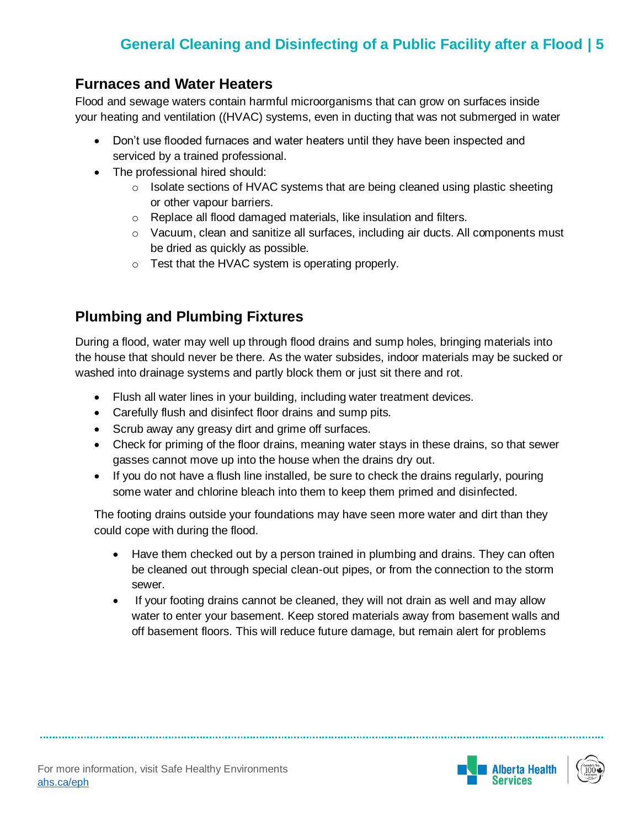### **Furnaces and Water Heaters**

Flood and sewage waters contain harmful microorganisms that can grow on surfaces inside your heating and ventilation ((HVAC) systems, even in ducting that was not submerged in water

- Don't use flooded furnaces and water heaters until they have been inspected and serviced by a trained professional.
- The professional hired should:
	- $\circ$  Isolate sections of HVAC systems that are being cleaned using plastic sheeting or other vapour barriers.
	- o Replace all flood damaged materials, like insulation and filters.
	- $\circ$  Vacuum, clean and sanitize all surfaces, including air ducts. All components must be dried as quickly as possible.
	- o Test that the HVAC system is operating properly.

# **Plumbing and Plumbing Fixtures**

During a flood, water may well up through flood drains and sump holes, bringing materials into the house that should never be there. As the water subsides, indoor materials may be sucked or washed into drainage systems and partly block them or just sit there and rot.

- Flush all water lines in your building, including water treatment devices.
- Carefully flush and disinfect floor drains and sump pits.
- Scrub away any greasy dirt and grime off surfaces.
- Check for priming of the floor drains, meaning water stays in these drains, so that sewer gasses cannot move up into the house when the drains dry out.
- If you do not have a flush line installed, be sure to check the drains regularly, pouring some water and chlorine bleach into them to keep them primed and disinfected.

The footing drains outside your foundations may have seen more water and dirt than they could cope with during the flood.

- Have them checked out by a person trained in plumbing and drains. They can often be cleaned out through special clean-out pipes, or from the connection to the storm sewer.
- If your footing drains cannot be cleaned, they will not drain as well and may allow water to enter your basement. Keep stored materials away from basement walls and off basement floors. This will reduce future damage, but remain alert for problems



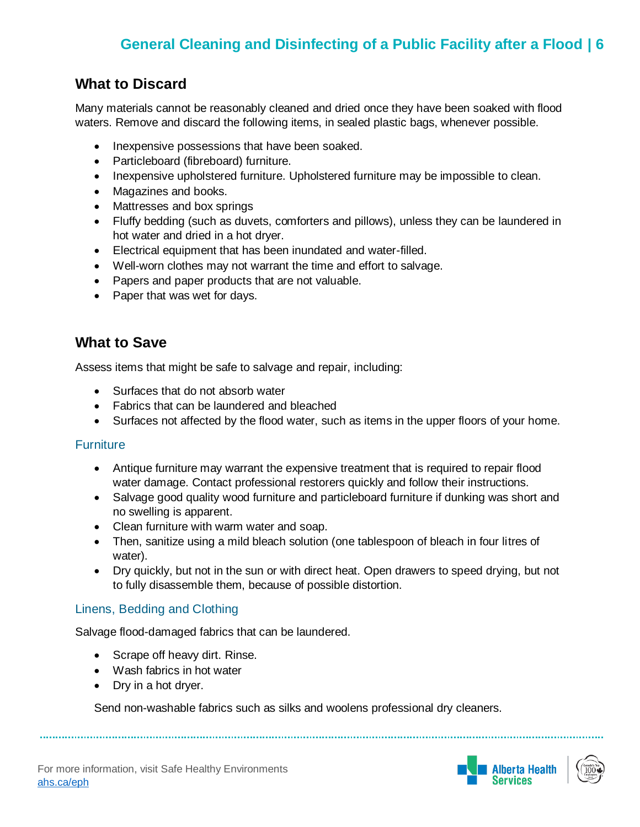### **What to Discard**

Many materials cannot be reasonably cleaned and dried once they have been soaked with flood waters. Remove and discard the following items, in sealed plastic bags, whenever possible.

- Inexpensive possessions that have been soaked.
- Particleboard (fibreboard) furniture.
- Inexpensive upholstered furniture. Upholstered furniture may be impossible to clean.
- Magazines and books.
- Mattresses and box springs
- Fluffy bedding (such as duvets, comforters and pillows), unless they can be laundered in hot water and dried in a hot dryer.
- Electrical equipment that has been inundated and water-filled.
- Well-worn clothes may not warrant the time and effort to salvage.
- Papers and paper products that are not valuable.
- Paper that was wet for days.

### **What to Save**

Assess items that might be safe to salvage and repair, including:

- Surfaces that do not absorb water
- Fabrics that can be laundered and bleached
- Surfaces not affected by the flood water, such as items in the upper floors of your home.

#### **Furniture**

- Antique furniture may warrant the expensive treatment that is required to repair flood water damage. Contact professional restorers quickly and follow their instructions.
- Salvage good quality wood furniture and particleboard furniture if dunking was short and no swelling is apparent.
- Clean furniture with warm water and soap.
- Then, sanitize using a mild bleach solution (one tablespoon of bleach in four litres of water).
- Dry quickly, but not in the sun or with direct heat. Open drawers to speed drying, but not to fully disassemble them, because of possible distortion.

#### Linens, Bedding and Clothing

Salvage flood-damaged fabrics that can be laundered.

- Scrape off heavy dirt. Rinse.
- Wash fabrics in hot water
- Dry in a hot dryer.

Send non-washable fabrics such as silks and woolens professional dry cleaners.